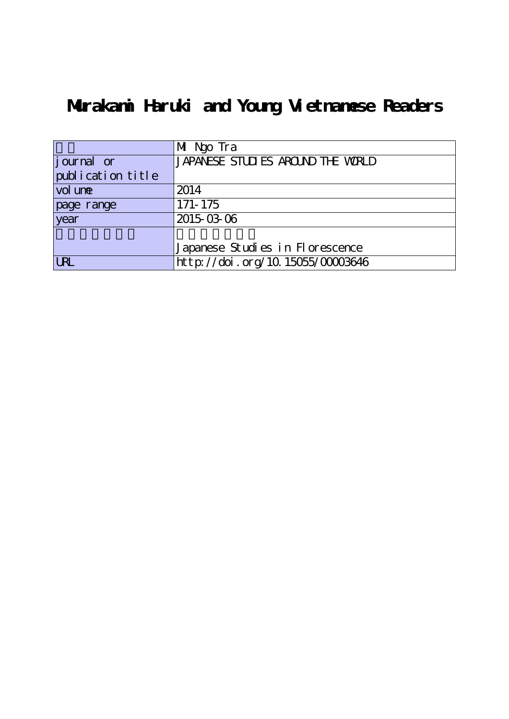# **Murakami Haruki and Young Vietnamese Readers**

|                   | Mi Ngo Tra                        |
|-------------------|-----------------------------------|
| journal or        | JAPANESE STUDIES AROUND THE WORLD |
| publication title |                                   |
| vol une           | 2014                              |
| page range        | 171-175                           |
| year              | 2015-03-06                        |
|                   |                                   |
|                   | Japanese Studies in Florescence   |
| <b>LRL</b>        | http://doi.org/10.15055/00003646  |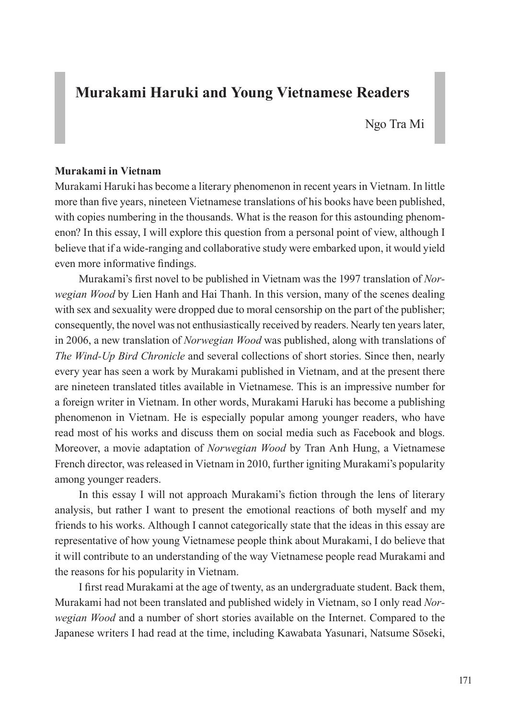## **Murakami Haruki and Young Vietnamese Readers**

Ngo Tra Mi

#### **Murakami in Vietnam**

Murakami Haruki has become a literary phenomenon in recent years in Vietnam. In little more than five years, nineteen Vietnamese translations of his books have been published, with copies numbering in the thousands. What is the reason for this astounding phenomenon? In this essay, I will explore this question from a personal point of view, although I believe that if a wide-ranging and collaborative study were embarked upon, it would yield even more informative findings.

Murakami's first novel to be published in Vietnam was the 1997 translation of *Norwegian Wood* by Lien Hanh and Hai Thanh. In this version, many of the scenes dealing with sex and sexuality were dropped due to moral censorship on the part of the publisher; consequently, the novel was not enthusiastically received by readers. Nearly ten years later, in 2006, a new translation of *Norwegian Wood* was published, along with translations of *The Wind-Up Bird Chronicle* and several collections of short stories. Since then, nearly every year has seen a work by Murakami published in Vietnam, and at the present there are nineteen translated titles available in Vietnamese. This is an impressive number for a foreign writer in Vietnam. In other words, Murakami Haruki has become a publishing phenomenon in Vietnam. He is especially popular among younger readers, who have read most of his works and discuss them on social media such as Facebook and blogs. Moreover, a movie adaptation of *Norwegian Wood* by Tran Anh Hung, a Vietnamese French director, was released in Vietnam in 2010, further igniting Murakami's popularity among younger readers.

In this essay I will not approach Murakami's fiction through the lens of literary analysis, but rather I want to present the emotional reactions of both myself and my friends to his works. Although I cannot categorically state that the ideas in this essay are representative of how young Vietnamese people think about Murakami, I do believe that it will contribute to an understanding of the way Vietnamese people read Murakami and the reasons for his popularity in Vietnam.

I first read Murakami at the age of twenty, as an undergraduate student. Back them, Murakami had not been translated and published widely in Vietnam, so I only read *Norwegian Wood* and a number of short stories available on the Internet. Compared to the Japanese writers I had read at the time, including Kawabata Yasunari, Natsume Sōseki,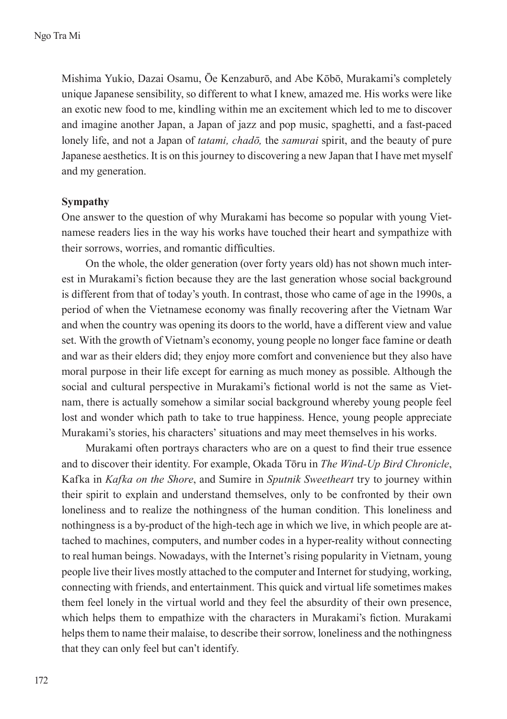Mishima Yukio, Dazai Osamu, Ōe Kenzaburō, and Abe Kōbō, Murakami's completely unique Japanese sensibility, so different to what I knew, amazed me. His works were like an exotic new food to me, kindling within me an excitement which led to me to discover and imagine another Japan, a Japan of jazz and pop music, spaghetti, and a fast-paced lonely life, and not a Japan of *tatami, chadō,* the *samurai* spirit, and the beauty of pure Japanese aesthetics. It is on this journey to discovering a new Japan that I have met myself and my generation.

#### **Sympathy**

One answer to the question of why Murakami has become so popular with young Vietnamese readers lies in the way his works have touched their heart and sympathize with their sorrows, worries, and romantic difficulties.

On the whole, the older generation (over forty years old) has not shown much interest in Murakami's fiction because they are the last generation whose social background is different from that of today's youth. In contrast, those who came of age in the 1990s, a period of when the Vietnamese economy was finally recovering after the Vietnam War and when the country was opening its doors to the world, have a different view and value set. With the growth of Vietnam's economy, young people no longer face famine or death and war as their elders did; they enjoy more comfort and convenience but they also have moral purpose in their life except for earning as much money as possible. Although the social and cultural perspective in Murakami's fictional world is not the same as Vietnam, there is actually somehow a similar social background whereby young people feel lost and wonder which path to take to true happiness. Hence, young people appreciate Murakami's stories, his characters' situations and may meet themselves in his works.

Murakami often portrays characters who are on a quest to find their true essence and to discover their identity. For example, Okada Tōru in *The Wind-Up Bird Chronicle*, Kafka in *Kafka on the Shore*, and Sumire in *Sputnik Sweetheart* try to journey within their spirit to explain and understand themselves, only to be confronted by their own loneliness and to realize the nothingness of the human condition. This loneliness and nothingness is a by-product of the high-tech age in which we live, in which people are attached to machines, computers, and number codes in a hyper-reality without connecting to real human beings. Nowadays, with the Internet's rising popularity in Vietnam, young people live their lives mostly attached to the computer and Internet for studying, working, connecting with friends, and entertainment. This quick and virtual life sometimes makes them feel lonely in the virtual world and they feel the absurdity of their own presence, which helps them to empathize with the characters in Murakami's fiction. Murakami helps them to name their malaise, to describe their sorrow, loneliness and the nothingness that they can only feel but can't identify.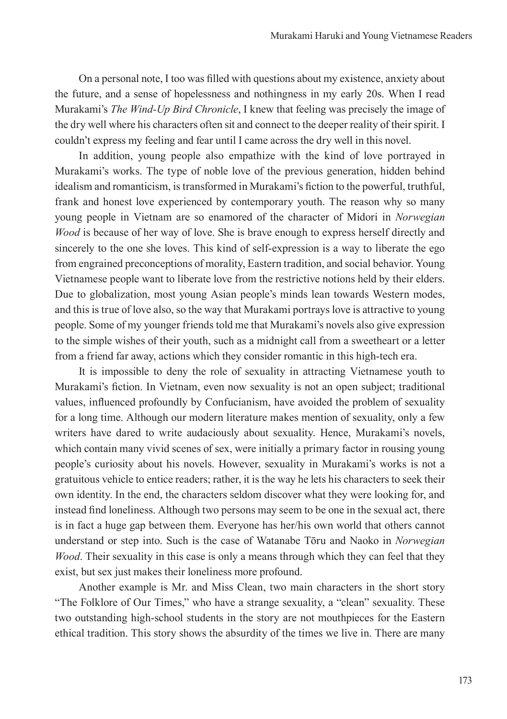On a personal note, I too was filled with questions about my existence, anxiety about the future, and a sense of hopelessness and nothingness in my early 20s. When I read Murakami's *The Wind-Up Bird Chronicle*, I knew that feeling was precisely the image of the dry well where his characters often sit and connect to the deeper reality of their spirit. I couldn't express my feeling and fear until I came across the dry well in this novel.

In addition, young people also empathize with the kind of love portrayed in Murakami's works. The type of noble love of the previous generation, hidden behind idealism and romanticism, is transformed in Murakami's fiction to the powerful, truthful, frank and honest love experienced by contemporary youth. The reason why so many young people in Vietnam are so enamored of the character of Midori in *Norwegian Wood* is because of her way of love. She is brave enough to express herself directly and sincerely to the one she loves. This kind of self-expression is a way to liberate the ego from engrained preconceptions of morality, Eastern tradition, and social behavior. Young Vietnamese people want to liberate love from the restrictive notions held by their elders. Due to globalization, most young Asian people's minds lean towards Western modes, and this is true of love also, so the way that Murakami portrays love is attractive to young people. Some of my younger friends told me that Murakami's novels also give expression to the simple wishes of their youth, such as a midnight call from a sweetheart or a letter from a friend far away, actions which they consider romantic in this high-tech era.

It is impossible to deny the role of sexuality in attracting Vietnamese youth to Murakami's fiction. In Vietnam, even now sexuality is not an open subject; traditional values, influenced profoundly by Confucianism, have avoided the problem of sexuality for a long time. Although our modern literature makes mention of sexuality, only a few writers have dared to write audaciously about sexuality. Hence, Murakami's novels, which contain many vivid scenes of sex, were initially a primary factor in rousing young people's curiosity about his novels. However, sexuality in Murakami's works is not a gratuitous vehicle to entice readers; rather, it is the way he lets his characters to seek their own identity. In the end, the characters seldom discover what they were looking for, and instead find loneliness. Although two persons may seem to be one in the sexual act, there is in fact a huge gap between them. Everyone has her/his own world that others cannot understand or step into. Such is the case of Watanabe Tōru and Naoko in *Norwegian Wood*. Their sexuality in this case is only a means through which they can feel that they exist, but sex just makes their loneliness more profound.

Another example is Mr. and Miss Clean, two main characters in the short story "The Folklore of Our Times," who have a strange sexuality, a "clean" sexuality. These two outstanding high-school students in the story are not mouthpieces for the Eastern ethical tradition. This story shows the absurdity of the times we live in. There are many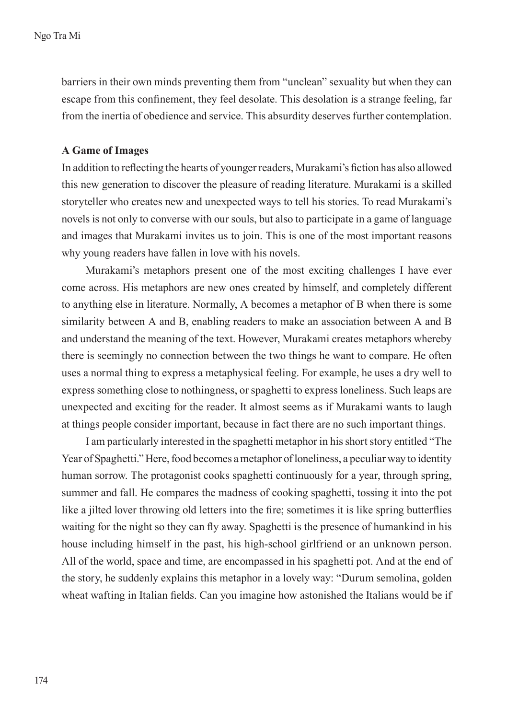barriers in their own minds preventing them from "unclean" sexuality but when they can escape from this confinement, they feel desolate. This desolation is a strange feeling, far from the inertia of obedience and service. This absurdity deserves further contemplation.

### **A Game of Images**

In addition to reflecting the hearts of younger readers, Murakami's fiction has also allowed this new generation to discover the pleasure of reading literature. Murakami is a skilled storyteller who creates new and unexpected ways to tell his stories. To read Murakami's novels is not only to converse with our souls, but also to participate in a game of language and images that Murakami invites us to join. This is one of the most important reasons why young readers have fallen in love with his novels.

Murakami's metaphors present one of the most exciting challenges I have ever come across. His metaphors are new ones created by himself, and completely different to anything else in literature. Normally, A becomes a metaphor of B when there is some similarity between A and B, enabling readers to make an association between A and B and understand the meaning of the text. However, Murakami creates metaphors whereby there is seemingly no connection between the two things he want to compare. He often uses a normal thing to express a metaphysical feeling. For example, he uses a dry well to express something close to nothingness, or spaghetti to express loneliness. Such leaps are unexpected and exciting for the reader. It almost seems as if Murakami wants to laugh at things people consider important, because in fact there are no such important things.

I am particularly interested in the spaghetti metaphor in his short story entitled "The Year of Spaghetti." Here, food becomes a metaphor of loneliness, a peculiar way to identity human sorrow. The protagonist cooks spaghetti continuously for a year, through spring, summer and fall. He compares the madness of cooking spaghetti, tossing it into the pot like a jilted lover throwing old letters into the fire; sometimes it is like spring butterflies waiting for the night so they can fly away. Spaghetti is the presence of humankind in his house including himself in the past, his high-school girlfriend or an unknown person. All of the world, space and time, are encompassed in his spaghetti pot. And at the end of the story, he suddenly explains this metaphor in a lovely way: "Durum semolina, golden wheat wafting in Italian fields. Can you imagine how astonished the Italians would be if